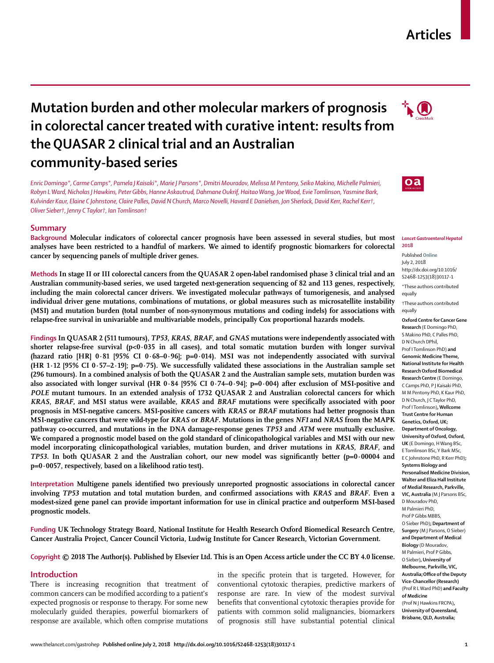# www.thelancet.com/gastrohep **Published online July 2, 2018 http://dx.doi.org/10.1016/S2468-1253(18)30117-1 1**

# **Mutation burden and other molecular markers of prognosis in colorectal cancer treated with curative intent: results from the QUASAR 2 clinical trial and an Australian community-based series**

*Enric Domingo\*, Carme Camps\*, Pamela J Kaisaki\*, Marie J Parsons\*, Dmitri Mouradov, Melissa M Pentony, Seiko Makino, Michelle Palmieri, Robyn L Ward, Nicholas J Hawkins, Peter Gibbs, Hanne Askautrud, Dahmane Oukrif, Haitao Wang, Joe Wood, Evie Tomlinson, Yasmine Bark, Kulvinder Kaur, Elaine C Johnstone, Claire Palles, David N Church, Marco Novelli, Havard E Danielsen, Jon Sherlock, David Kerr, Rachel Kerr†, Oliver Sieber†, Jenny C Taylor†, Ian Tomlinson†*

# **Summary**

**Background Molecular indicators of colorectal cancer prognosis have been assessed in several studies, but most analyses have been restricted to a handful of markers. We aimed to identify prognostic biomarkers for colorectal cancer by sequencing panels of multiple driver genes.**

**Methods In stage II or III colorectal cancers from the QUASAR 2 open-label randomised phase 3 clinical trial and an Australian community-based series, we used targeted next-generation sequencing of 82 and 113 genes, respectively, including the main colorectal cancer drivers. We investigated molecular pathways of tumorigenesis, and analysed individual driver gene mutations, combinations of mutations, or global measures such as microsatellite instability (MSI) and mutation burden (total number of non-synonymous mutations and coding indels) for associations with relapse-free survival in univariable and multivariable models, principally Cox proportional hazards models.**

**Findings In QUASAR 2 (511 tumours),** *TP53***,** *KRAS***,** *BRAF***, and** *GNAS* **mutations were independently associated with**  shorter relapse-free survival (p<0·035 in all cases), and total somatic mutation burden with longer survival **(hazard ratio [HR] 0·81 [95% CI 0·68–0·96]; p=0·014). MSI was not independently associated with survival (HR 1·12 [95% CI 0·57–2·19]; p=0·75). We successfully validated these associations in the Australian sample set (296 tumours). In a combined analysis of both the QUASAR 2 and the Australian sample sets, mutation burden was also associated with longer survival (HR 0·84 [95% CI 0·74–0·94]; p=0·004) after exclusion of MSI-positive and**  *POLE* **mutant tumours. In an extended analysis of 1732 QUASAR 2 and Australian colorectal cancers for which**  *KRAS***,** *BRAF***, and MSI status were available,** *KRAS* **and** *BRAF* **mutations were specifically associated with poor prognosis in MSI-negative cancers. MSI-positive cancers with** *KRAS* **or** *BRAF* **mutations had better prognosis than MSI-negative cancers that were wild-type for** *KRAS* **or** *BRAF***. Mutations in the genes** *NF1* **and** *NRAS* **from the MAPK pathway co-occurred, and mutations in the DNA damage-response genes** *TP53* **and** *ATM* **were mutually exclusive***.*  **We compared a prognostic model based on the gold standard of clinicopathological variables and MSI with our new model incorporating clinicopathological variables, mutation burden, and driver mutations in** *KRAS***,** *BRAF***, and** *TP53.* **In both QUASAR 2 and the Australian cohort, our new model was significantly better (p=0·00004 and p=0·0057, respectively, based on a likelihood ratio test).**

**Interpretation Multigene panels identified two previously unreported prognostic associations in colorectal cancer involving** *TP53* **mutation and total mutation burden, and confirmed associations with** *KRAS* **and** *BRAF.* **Even a modest-sized gene panel can provide important information for use in clinical practice and outperform MSI-based prognostic models.**

**Funding UK Technology Strategy Board, National Institute for Health Research Oxford Biomedical Research Centre, Cancer Australia Project, Cancer Council Victoria, Ludwig Institute for Cancer Research, Victorian Government.**

# **Copyright © 2018 The Author(s). Published by Elsevier Ltd. This is an Open Access article under the CC BY 4.0 license.**

# **Introduction**

There is increasing recognition that treatment of common cancers can be modified according to a patient's expected prognosis or response to therapy. For some new molecularly guided therapies, powerful biomarkers of response are available, which often comprise mutations

in the specific protein that is targeted. However, for conventional cytotoxic therapies, predictive markers of response are rare. In view of the modest survival benefits that conventional cytotoxic therapies provide for patients with common solid malignancies, biomarkers of prognosis still have substantial potential clinical

**Articles**

#### *Lancet Gastroenterol Hepatol* **2018**

Published **Online** July 2, 2018 http://dx.doi.org/10.1016/ S2468-1253(18)30117-1 \*These authors contributed

†These authors contributed equally

equally

 $oa$ 

**Oxford Centre for Cancer Gene Research** (E Domingo PhD, S Makino PhD, C Palles PhD, D N Church DPhil,

Prof I Tomlinson PhD) **and Genomic Medicine Theme, National Institute for Health Research Oxford Biomedical Research Centre** (E Domingo, C Camps PhD, P J Kaisaki PhD, M M Pentony PhD, K Kaur PhD, D N Church, J C Taylor PhD, Prof I Tomlinson)**, Wellcome Trust Centre for Human Genetics, Oxford, UK; Department of Oncology, University of Oxford, Oxford, UK** (E Domingo, H Wang BSc, E Tomlinson BSc, Y Bark MSc, E C Johnstone PhD, R Kerr PhD)**; Systems Biology and Personalised Medicine Division, Walter and Eliza Hall Institute of Medial Research, Parkville, VIC, Australia** (M J Parsons BSc, D Mouradov PhD, M Palmieri PhD, Prof P Gibbs MBBS, O Sieber PhD)**; Department of Surgery** (M J Parsons, O Sieber) **and Department of Medical Biology** (D Mouradov, M Palmieri, Prof P Gibbs, O Sieber)**, University of Melbourne, Parkville, VIC, Australia;Office of the Deputy Vice-Chancellor (Research)**  (Prof R L Ward PhD) **and Faculty of Medicine**  (Prof N J Hawkins FRCPA)**, University of Queensland,** 

**Brisbane, QLD, Australia;**

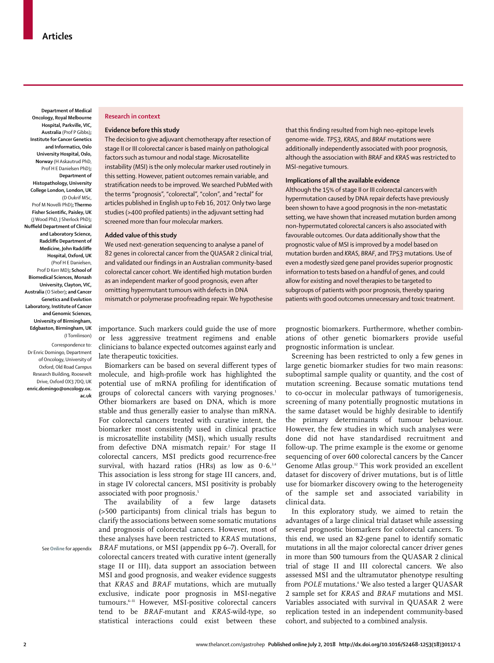**Department of Medical Oncology, Royal Melbourne Hospital, Parkville, VIC, Australia** (Prof P Gibbs)**; Institute for Cancer Genetics and Informatics, Oslo University Hospital, Oslo, Norway** (H Askautrud PhD, Prof H E Danielsen PhD)**; Department of Histopathology, University College London, London, UK**  (D Oukrif MSc, Prof M Novelli PhD)**; Thermo Fisher Scientific, Paisley, UK**  (J Wood PhD, J Sherlock PhD)**; Nuffield Department of Clinical and Laboratory Science, Radcliffe Department of Medicine, John Radcliffe Hospital, Oxford, UK**  (Prof H E Danielsen, Prof D Kerr MD)**; School of Biomedical Sciences, Monash University, Clayton, VIC, Australia** (O Sieber)**; and Cancer Genetics and Evolution Laboratory, Institute of Cancer and Genomic Sciences, University of Birmingham, Edgbaston, Birmingham, UK**  (I Tomlinson)

Correspondence to: Dr Enric Domingo, Department of Oncology, University of Oxford, Old Road Campus Research Building, Roosevelt Drive, Oxford OX3 7DQ, UK **enric.domingo@oncology.ox. ac.uk**

#### See **Online** for appendix

#### **Research in context**

### **Evidence before this study**

The decision to give adjuvant chemotherapy after resection of stage II or III colorectal cancer is based mainly on pathological factors such as tumour and nodal stage. Microsatellite instability (MSI) is the only molecular marker used routinely in this setting. However, patient outcomes remain variable, and stratification needs to be improved. We searched PubMed with the terms "prognosis", "colorectal", "colon", and "rectal" for articles published in English up to Feb 16, 2017. Only two large studies (>400 profiled patients) in the adjuvant setting had screened more than four molecular markers.

## **Added value of this study**

We used next-generation sequencing to analyse a panel of 82 genes in colorectal cancer from the QUASAR 2 clinical trial, and validated our findings in an Australian community-based colorectal cancer cohort. We identified high mutation burden as an independent marker of good prognosis, even after omitting hypermutant tumours with defects in DNA mismatch or polymerase proofreading repair. We hypothesise

that this finding resulted from high neo-epitope levels genome-wide. *TP53*, *KRAS*, and *BRAF* mutations were additionally independently associated with poor prognosis, although the association with *BRAF* and *KRAS* was restricted to MSI-negative tumours.

#### **Implications of all the available evidence**

Although the 15% of stage II or III colorectal cancers with hypermutation caused by DNA repair defects have previously been shown to have a good prognosis in the non-metastatic setting, we have shown that increased mutation burden among non-hypermutated colorectal cancers is also associated with favourable outcomes. Our data additionally show that the prognostic value of MSI is improved by a model based on mutation burden and *KRAS*, *BRAF*, and *TP53* mutations. Use of even a modestly sized gene panel provides superior prognostic information to tests based on a handful of genes, and could allow for existing and novel therapies to be targeted to subgroups of patients with poor prognosis, thereby sparing patients with good outcomes unnecessary and toxic treatment.

importance. Such markers could guide the use of more or less aggressive treatment regimens and enable clinicians to balance expected outcomes against early and late therapeutic toxicities.

Biomarkers can be based on several different types of molecule, and high-profile work has highlighted the potential use of mRNA profiling for identification of groups of colorectal cancers with varying prognoses.<sup>1</sup> Other biomarkers are based on DNA, which is more stable and thus generally easier to analyse than mRNA. For colorectal cancers treated with curative intent, the biomarker most consistently used in clinical practice is microsatellite instability (MSI), which usually results from defective DNA mismatch repair.<sup>2</sup> For stage II colorectal cancers, MSI predicts good recurrence-free survival, with hazard ratios (HRs) as low as  $0.6^{3,4}$ This association is less strong for stage III cancers, and, in stage IV colorectal cancers, MSI positivity is probably associated with poor prognosis.<sup>5</sup>

The availability of a few large datasets (>500 participants) from clinical trials has begun to clarify the associations between some somatic mutations and prognosis of colorectal cancers. However, most of these analyses have been restricted to *KRAS* mutations, *BRAF* mutations, or MSI (appendix pp 6–7). Overall, for colorectal cancers treated with curative intent (generally stage II or III), data support an association between MSI and good prognosis, and weaker evidence suggests that *KRAS* and *BRAF* mutations, which are mutually exclusive, indicate poor prognosis in MSI-negative tumours.6–11 However, MSI-positive colorectal cancers tend to be *BRAF-*mutant and *KRAS-*wild-type, so statistical interactions could exist between these

prognostic biomarkers. Furthermore, whether combinations of other genetic biomarkers provide useful prognostic information is unclear.

Screening has been restricted to only a few genes in large genetic biomarker studies for two main reasons: suboptimal sample quality or quantity, and the cost of mutation screening. Because somatic mutations tend to co-occur in molecular pathways of tumorigenesis, screening of many potentially prognostic mutations in the same dataset would be highly desirable to identify the primary determinants of tumour behaviour. However, the few studies in which such analyses were done did not have standardised recruitment and follow-up. The prime example is the exome or genome sequencing of over 600 colorectal cancers by the Cancer Genome Atlas group.12 This work provided an excellent dataset for discovery of driver mutations, but is of little use for biomarker discovery owing to the heterogeneity of the sample set and associated variability in clinical data.

In this exploratory study, we aimed to retain the advantages of a large clinical trial dataset while assessing several prognostic biomarkers for colorectal cancers. To this end, we used an 82-gene panel to identify somatic mutations in all the major colorectal cancer driver genes in more than 500 tumours from the QUASAR 2 clinical trial of stage II and III colorectal cancers. We also assessed MSI and the ultramutator phenotype resulting from *POLE* mutations.<sup>4</sup> We also tested a larger QUASAR 2 sample set for *KRAS* and *BRAF* mutations and MSI. Variables associated with survival in QUASAR 2 were replication tested in an independent community-based cohort, and subjected to a combined analysis.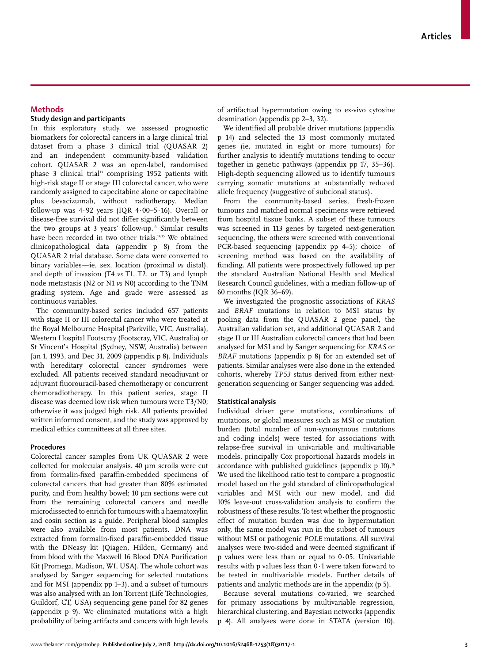# **Methods**

# **Study design and participants**

In this exploratory study, we assessed prognostic biomarkers for colorectal cancers in a large clinical trial dataset from a phase 3 clinical trial (QUASAR 2) and an independent community-based validation cohort. QUASAR 2 was an open-label, randomised phase 3 clinical trial<sup>13</sup> comprising 1952 patients with high-risk stage II or stage III colorectal cancer, who were randomly assigned to capecitabine alone or capecitabine plus bevacizumab, without radiotherapy. Median follow-up was  $4.92$  years (IQR  $4.00-5.16$ ). Overall or disease-free survival did not differ significantly between the two groups at 3 years' follow-up.<sup>13</sup> Similar results have been recorded in two other trials.<sup>14,15</sup> We obtained clinicopathological data (appendix p 8) from the QUASAR 2 trial database. Some data were converted to binary variables—ie, sex, location (proximal *vs* distal), and depth of invasion (T4 *vs* T1, T2, or T3) and lymph node metastasis (N2 or N1 *vs* N0) according to the TNM grading system. Age and grade were assessed as continuous variables.

The community-based series included 657 patients with stage II or III colorectal cancer who were treated at the Royal Melbourne Hospital (Parkville, VIC, Australia), Western Hospital Footscray (Footscray, VIC, Australia) or St Vincent's Hospital (Sydney, NSW, Australia) between Jan 1, 1993, and Dec 31, 2009 (appendix p 8). Individuals with hereditary colorectal cancer syndromes were excluded. All patients received standard neoadjuvant or adjuvant fluorouracil-based chemotherapy or concurrent chemoradiotherapy. In this patient series, stage II disease was deemed low risk when tumours were T3/N0; otherwise it was judged high risk. All patients provided written informed consent, and the study was approved by medical ethics committees at all three sites.

# **Procedures**

Colorectal cancer samples from UK QUASAR 2 were collected for molecular analysis. 40 μm scrolls were cut from formalin-fixed paraffin-embedded specimens of colorectal cancers that had greater than 80% estimated purity, and from healthy bowel; 10 μm sections were cut from the remaining colorectal cancers and needle microdissected to enrich for tumours with a haematoxylin and eosin section as a guide. Peripheral blood samples were also available from most patients. DNA was extracted from formalin-fixed paraffin-embedded tissue with the DNeasy kit (Qiagen, Hilden, Germany) and from blood with the Maxwell 16 Blood DNA Purification Kit (Promega, Madison, WI, USA). The whole cohort was analysed by Sanger sequencing for selected mutations and for MSI (appendix pp 1–3), and a subset of tumours was also analysed with an Ion Torrent (Life Technologies, Guildorf, CT, USA) sequencing gene panel for 82 genes (appendix p 9). We eliminated mutations with a high probability of being artifacts and cancers with high levels of artifactual hypermutation owing to ex-vivo cytosine deamination (appendix pp 2–3, 32).

We identified all probable driver mutations (appendix p 14) and selected the 13 most commonly mutated genes (ie, mutated in eight or more tumours) for further analysis to identify mutations tending to occur together in genetic pathways (appendix pp 17, 35–36). High-depth sequencing allowed us to identify tumours carrying somatic mutations at substantially reduced allele frequency (suggestive of subclonal status).

From the community-based series, fresh-frozen tumours and matched normal specimens were retrieved from hospital tissue banks. A subset of these tumours was screened in 113 genes by targeted next-generation sequencing, the others were screened with conventional PCR-based sequencing (appendix pp 4–5); choice of screening method was based on the availability of funding. All patients were prospectively followed up per the standard Australian National Health and Medical Research Council guidelines, with a median follow-up of 60 months (IQR 36–69).

We investigated the prognostic associations of *KRAS*  and *BRAF* mutations in relation to MSI status by pooling data from the QUASAR 2 gene panel, the Australian validation set, and additional QUASAR 2 and stage II or III Australian colorectal cancers that had been analysed for MSI and by Sanger sequencing for *KRAS* or *BRAF* mutations (appendix p 8) for an extended set of patients. Similar analyses were also done in the extended cohorts, whereby *TP53* status derived from either nextgeneration sequencing or Sanger sequencing was added.

# **Statistical analysis**

Individual driver gene mutations, combinations of mutations, or global measures such as MSI or mutation burden (total number of non-synonymous mutations and coding indels) were tested for associations with relapse-free survival in univariable and multivariable models, principally Cox proportional hazards models in accordance with published guidelines (appendix p 10).<sup>16</sup> We used the likelihood ratio test to compare a prognostic model based on the gold standard of clinicopathological variables and MSI with our new model, and did 10% leave-out cross-validation analysis to confirm the robustness of these results. To test whether the prognostic effect of mutation burden was due to hypermutation only, the same model was run in the subset of tumours without MSI or pathogenic *POLE* mutations. All survival analyses were two-sided and were deemed significant if p values were less than or equal to 0·05. Univariable results with p values less than 0·1 were taken forward to be tested in multivariable models. Further details of patients and analytic methods are in the appendix (p 5).

Because several mutations co-varied, we searched for primary associations by multivariable regression, hierarchical clustering, and Bayesian networks (appendix p 4). All analyses were done in STATA (version 10),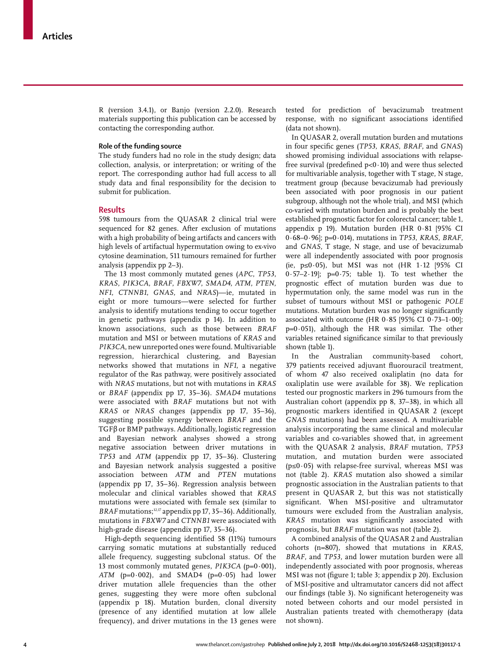R (version 3.4.1), or Banjo (version 2.2.0). Research materials supporting this publication can be accessed by contacting the corresponding author.

# **Role of the funding source**

The study funders had no role in the study design; data collection, analysis, or interpretation; or writing of the report. The corresponding author had full access to all study data and final responsibility for the decision to submit for publication.

# **Results**

598 tumours from the QUASAR 2 clinical trial were sequenced for 82 genes. After exclusion of mutations with a high probability of being artifacts and cancers with high levels of artifactual hypermutation owing to ex-vivo cytosine deamination, 511 tumours remained for further analysis (appendix pp 2–3).

The 13 most commonly mutated genes (*APC*, *TP53*, *KRAS*, *PIK3CA*, *BRAF*, *FBXW7*, *SMAD4*, *ATM*, *PTEN*, *NF1*, *CTNNB1*, *GNAS*, and *NRAS*)—ie, mutated in eight or more tumours—were selected for further analysis to identify mutations tending to occur together in genetic pathways (appendix p 14). In addition to known associations, such as those between *BRAF* mutation and MSI or between mutations of *KRAS* and *PIK3CA*, new unreported ones were found. Multivariable regression, hierarchical clustering, and Bayesian networks showed that mutations in *NF1*, a negative regulator of the Ras pathway, were positively associated with *NRAS* mutations, but not with mutations in *KRAS* or *BRAF* (appendix pp 17, 35–36). *SMAD4* mutations were associated with *BRAF* mutations but not with *KRAS* or *NRAS* changes (appendix pp 17, 35–36), suggesting possible synergy between *BRAF* and the TGFβ or BMP pathways. Additionally, logistic regression and Bayesian network analyses showed a strong negative association between driver mutations in *TP53* and *ATM* (appendix pp 17, 35–36). Clustering and Bayesian network analysis suggested a positive association between *ATM* and *PTEN* mutations (appendix pp 17, 35–36). Regression analysis between molecular and clinical variables showed that *KRAS* mutations were associated with female sex (similar to *BRAF* mutations;<sup>12,17</sup> appendix pp 17, 35-36). Additionally, mutations in *FBXW7* and *CTNNB1* were associated with high-grade disease (appendix pp 17, 35–36).

High-depth sequencing identified 58 (11%) tumours carrying somatic mutations at substantially reduced allele frequency, suggesting subclonal status. Of the 13 most commonly mutated genes, *PIK3CA* (p=0·001),  $ATM$  (p=0·002), and SMAD4 (p=0·05) had lower driver mutation allele frequencies than the other genes, suggesting they were more often subclonal (appendix p 18). Mutation burden, clonal diversity (presence of any identified mutation at low allele frequency), and driver mutations in the 13 genes were tested for prediction of bevacizumab treatment response, with no significant associations identified (data not shown).

In QUASAR 2, overall mutation burden and mutations in four specific genes (*TP53*, *KRAS*, *BRAF*, and *GNAS*) showed promising individual associations with relapsefree survival (predefined  $p<0.10$ ) and were thus selected for multivariable analysis, together with T stage, N stage, treatment group (because bevacizumab had previously been associated with poor prognosis in our patient subgroup, although not the whole trial), and MSI (which co-varied with mutation burden and is probably the best established prognostic factor for colorectal cancer; table 1, appendix p 19). Mutation burden (HR 0·81 [95% CI 0·68–0·96]; p=0·014), mutations in *TP53*, *KRAS*, *BRAF*, and *GNAS*, T stage, N stage, and use of bevacizumab were all independently associated with poor prognosis (ie, p≤0·05), but MSI was not (HR 1·12 [95% CI  $0.57-2.19$ ;  $p=0.75$ ; table 1). To test whether the prognostic effect of mutation burden was due to hypermutation only, the same model was run in the subset of tumours without MSI or pathogenic *POLE* mutations. Mutation burden was no longer significantly associated with outcome (HR  $0.85$  [95% CI  $0.73-1.00$ ];  $p=0.051$ ), although the HR was similar. The other variables retained significance similar to that previously shown (table 1).

In the Australian community-based cohort, 379 patients received adjuvant fluorouracil treatment, of whom 47 also received oxaliplatin (no data for oxaliplatin use were available for 38). We replication tested our prognostic markers in 296 tumours from the Australian cohort (appendix pp 8, 37–38), in which all prognostic markers identified in QUASAR 2 (except *GNAS* mutations) had been assessed. A multivariable analysis incorporating the same clinical and molecular variables and co-variables showed that, in agreement with the QUASAR 2 analysis, *BRAF* mutation, *TP53* mutation, and mutation burden were associated (p≤0·05) with relapse-free survival, whereas MSI was not (table 2). *KRAS* mutation also showed a similar prognostic association in the Australian patients to that present in QUASAR 2, but this was not statistically significant. When MSI-positive and ultramutator tumours were excluded from the Australian analysis*, KRAS* mutation was significantly associated with prognosis, but *BRAF* mutation was not (table 2).

A combined analysis of the QUASAR 2 and Australian cohorts (n=807), showed that mutations in *KRAS*, *BRAF*, and *TP53*, and lower mutation burden were all independently associated with poor prognosis, whereas MSI was not (figure 1; table 3; appendix p 20). Exclusion of MSI-positive and ultramutator cancers did not affect our findings (table 3). No significant heterogeneity was noted between cohorts and our model persisted in Australian patients treated with chemotherapy (data not shown).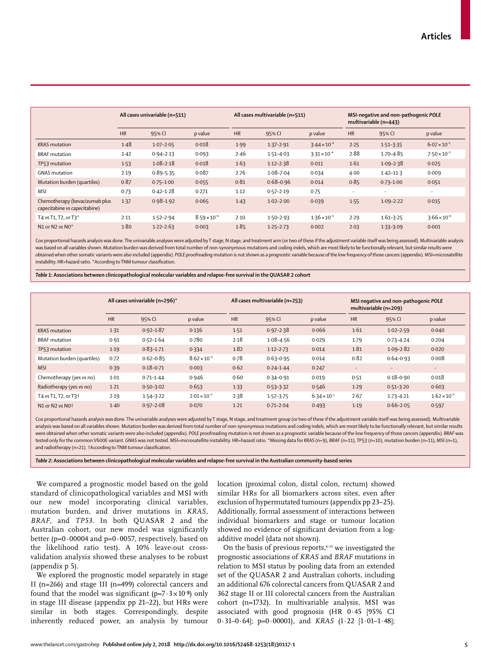|                                                                 | All cases univariable (n=511) |               |                       |           | All cases multivariable (n=511) |                       |          | MSI-negative and non-pathogenic POLE<br>multivariable (n=443) |                       |  |
|-----------------------------------------------------------------|-------------------------------|---------------|-----------------------|-----------|---------------------------------|-----------------------|----------|---------------------------------------------------------------|-----------------------|--|
|                                                                 | <b>HR</b>                     | 95% CI        | p value               | <b>HR</b> | 95% CI                          | p value               | HR       | 95% CI                                                        | p value               |  |
| <b>KRAS</b> mutation                                            | 1.48                          | $1.07 - 2.05$ | 0.018                 | 1.99      | $1.37 - 2.91$                   | $3.44 \times 10^{-4}$ | 2.25     | $1.51 - 3.35$                                                 | $6.07 \times 10^{-5}$ |  |
| <b>BRAF</b> mutation                                            | 1.42                          | $0.94 - 2.13$ | 0.093                 | 2.46      | $1.51 - 4.03$                   | $3.31 \times 10^{-4}$ | 2.88     | $1.70 - 4.85$                                                 | $7.50 \times 10^{-5}$ |  |
| TP53 mutation                                                   | 1.53                          | $1.08 - 2.18$ | 0.018                 | 1.63      | $1.12 - 2.38$                   | 0.011                 | 1.61     | $1.09 - 2.38$                                                 | 0.025                 |  |
| <b>GNAS</b> mutation                                            | 2.19                          | $0.89 - 5.35$ | 0.087                 | 2.76      | $1.08 - 7.04$                   | 0.034                 | 4.00     | $1.42 - 11.3$                                                 | 0.009                 |  |
| Mutation burden (quartiles)                                     | 0.87                          | $0.75 - 1.00$ | 0.055                 | 0.81      | $0.68 - 0.96$                   | 0.014                 | 0.85     | $0.73 - 1.00$                                                 | 0.051                 |  |
| <b>MSI</b>                                                      | 0.73                          | $0.42 - 1.28$ | 0.271                 | 1.12      | $0.57 - 2.19$                   | 0.75                  | $\ddots$ | $\ddotsc$                                                     | $\ddots$              |  |
| Chemotherapy (bevacizumab plus<br>capecitabine vs capecitabine) | 1.37                          | $0.98 - 1.92$ | 0.065                 | 1.43      | $1.02 - 2.00$                   | 0.039                 | 1.55     | $1.09 - 2.22$                                                 | 0.015                 |  |
| T4 vs T1, T2, or T3*                                            | 2.11                          | $1.52 - 2.94$ | $8.59 \times 10^{-6}$ | 2.10      | $1.50 - 2.93$                   | $1.36 \times 10^{-5}$ | 2.29     | $1.61 - 3.25$                                                 | $3.66 \times 10^{-6}$ |  |
| N <sub>1</sub> or N <sub>2</sub> vs N <sub>0</sub> <sup>*</sup> | 1.80                          | $1.22 - 2.63$ | 0.003                 | 1.85      | $1.25 - 2.73$                   | 0.002                 | 2.03     | $1.33 - 3.09$                                                 | 0.001                 |  |

Cox proportional hazards analysis was done. The univariable analyses were adjusted by T stage, N stage, and treatment arm (or two of these if the adjustment variable itself was being assessed). Multivariable analysis was based on all variables shown. Mutation burden was derived from total number of non-synonymous mutations and coding indels, which are most likely to be functionally relevant, but similar results were obtained when other somatic variants were also included (appendix). *POLE* proofreading mutation is not shown as a prognostic variable because of the low frequency of those cancers (appendix). MSI=microsatellite instability. HR=hazard ratio. \*According to TNM tumour classification.

*Table 1:* **Associations between clinicopathological molecular variables and relapse-free survival in the QUASAR 2 cohort**

|                             | All cases univariable (n=296)* |               |                       |           | All cases multivariable (n=253) |                       |           | MSI negative and non-pathogenic POLE<br>multivariable (n=209) |                       |  |
|-----------------------------|--------------------------------|---------------|-----------------------|-----------|---------------------------------|-----------------------|-----------|---------------------------------------------------------------|-----------------------|--|
|                             | <b>HR</b>                      | 95% CI        | p value               | <b>HR</b> | 95% CI                          | p value               | <b>HR</b> | 95% CI                                                        | p value               |  |
| <b>KRAS</b> mutation        | 1.31                           | $0.92 - 1.87$ | 0.136                 | 1.51      | $0.97 - 2.38$                   | 0.066                 | 1.61      | $1.02 - 2.59$                                                 | 0.040                 |  |
| <b>BRAF</b> mutation        | 0.91                           | $0.52 - 1.64$ | 0.780                 | 2.18      | $1.08 - 4.56$                   | 0.029                 | 1.79      | $0.73 - 4.24$                                                 | 0.204                 |  |
| TP53 mutation               | 1.19                           | $0.83 - 1.71$ | 0.334                 | 1.82      | $1.12 - 2.73$                   | 0.014                 | 1.81      | $1.09 - 2.82$                                                 | 0.020                 |  |
| Mutation burden (quartiles) | 0.72                           | $0.62 - 0.85$ | $8.62 \times 10^{-5}$ | 0.78      | $0.63 - 0.95$                   | 0.014                 | 0.82      | $0.64 - 0.93$                                                 | 0.008                 |  |
| <b>MSI</b>                  | 0.39                           | $0.18 - 0.71$ | 0.003                 | 0.62      | $0.24 - 1.44$                   | 0.247                 | $\ddotsc$ | $\cdot$                                                       | $\ddotsc$             |  |
| Chemotherapy (yes vs no)    | $1-01$                         | $0.71 - 1.44$ | 0.946                 | 0.60      | $0.34 - 0.91$                   | 0.019                 | 0.51      | $0.18 - 0.90$                                                 | 0.018                 |  |
| Radiotherapy (yes vs no)    | $1-21$                         | $0.50 - 3.02$ | 0.653                 | 1.33      | $0.53 - 3.32$                   | 0.546                 | 1.29      | $0.51 - 3.20$                                                 | 0.603                 |  |
| T4 vs T1, T2, or T3+        | 2.19                           | $1.54 - 3.22$ | $2.01 \times 10^{-5}$ | 2.38      | $1.57 - 3.75$                   | $6.34 \times 10^{-5}$ | 2.67      | $1.73 - 4.21$                                                 | $1.62 \times 10^{-5}$ |  |
| N1 or N2 vs N0 <sup>+</sup> | 1.40                           | $0.97 - 2.08$ | 0.070                 | 1.21      | $0.71 - 2.04$                   | 0.493                 | 1.19      | $0.66 - 2.05$                                                 | 0.597                 |  |

Cox proportional hazards analysis was done. The univariable analyses were adjusted by T stage, N stage, and treatment group (or two of these if the adjustment variable itself was being assessed). Multivariable itself was b analysis was based on all variables shown. Mutation burden was derived from total number of non-synonymous mutations and coding indels, which are most likely to be functionally relevant, but similar results were obtained when other somatic variants were also included (appendix). *POLE* proofreading mutation is not shown as a prognostic variable because of the low frequency of those cancers (appendix). *BRAF* was tested only for the common V600E variant. GNAS was not tested. MSI=microsatellite instability. HR=hazard ratio. \*Missing data for KRAS (n=9), BRAF (n=11), TP53 (n=10), mutation burden (n=11), MSI (n=1), and radiotherapy (n=21). †According to TNM tumour classification.

*Table 2:* **Associations between clinicopathological molecular variables and relapse-free survival in the Australian community-based series**

We compared a prognostic model based on the gold standard of clinicopathological variables and MSI with our new model incorporating clinical variables, mutation burden, and driver mutations in *KRAS*, *BRAF*, and *TP53.* In both QUASAR 2 and the Australian cohort, our new model was significantly better ( $p=0.00004$  and  $p=0.0057$ , respectively, based on the likelihood ratio test). A 10% leave-out crossvalidation analysis showed these analyses to be robust (appendix p 5).

We explored the prognostic model separately in stage II (n=266) and stage III (n=499) colorectal cancers and found that the model was significant ( $p=7.3 \times 10^{-8}$ ) only in stage III disease (appendix pp 21–22), but HRs were similar in both stages. Correspondingly, despite inherently reduced power, an analysis by tumour

location (proximal colon, distal colon, rectum) showed similar HRs for all biomarkers across sites, even after exclusion of hypermutated tumours (appendix pp 23–25). Additionally, formal assessment of interactions between individual biomarkers and stage or tumour location showed no evidence of significant deviation from a logadditive model (data not shown).

On the basis of previous reports, $6-11$  we investigated the prognostic associations of *KRAS* and *BRAF* mutations in relation to MSI status by pooling data from an extended set of the QUASAR 2 and Australian cohorts, including an additional 676 colorectal cancers from QUASAR 2 and 362 stage II or III colorectal cancers from the Australian cohort (n=1732). In multivariable analysis, MSI was associated with good prognosis (HR 0·45 [95% CI 0·31–0·64]; p=0·00001), and *KRAS* (1·22 [1·01–1·48];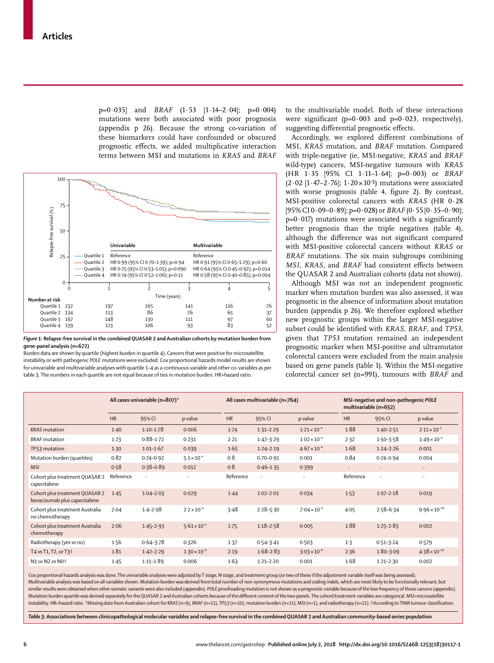p=0·035] and *BRAF* (1·53 [1·14–2·04]; p=0·004) mutations were both associated with poor prognosis (appendix p 26). Because the strong co-variation of these biomarkers could have confounded or obscured prognostic effects, we added multiplicative interaction terms between MSI and mutations in *KRAS* and *BRAF*



*Figure 1:* **Relapse-free survival in the combined QUASAR 2 and Australian cohorts by mutation burden from gene-panel analysis (n=672)**

Burden data are shown by quartile (highest burden in quartile 4). Cancers that were positive for microsatellite instability or with pathogenic *POLE* mutations were excluded. Cox proportional hazards model results are shown for univariable and multivariable analyses with quartile 1–4 as a continuous variable and other co-variables as per table 3. The numbers in each quartile are not equal because of ties in mutation burden. HR=hazard ratio.

to the multivariable model. Both of these interactions were significant ( $p=0.003$  and  $p=0.023$ , respectively), suggesting differential prognostic effects.

Accordingly, we explored different combinations of MSI, *KRAS* mutation, and *BRAF* mutation. Compared with triple-negative (ie, MSI-negative, *KRAS* and *BRAF*  wild-type) cancers, MSI-negative tumours with *KRAS*  (HR 1·35 [95% CI 1·11–1·64]; p=0·003) or *BRAF*   $(2.02 [1.47-2.76]; 1.20 \times 10^{-5})$  mutations were associated with worse prognosis (table 4, figure 2). By contrast, MSI-positive colorectal cancers with *KRAS* (HR 0·28 [95% CI 0·09–0·89]; p=0·028) or *BRAF* (0·55 [0·35–0·90];  $p=0.017$ ) mutations were associated with a significantly better prognosis than the triple negatives (table 4), although the difference was not significant compared with MSI-positive colorectal cancers without *KRAS* or *BRAF* mutations. The six main subgroups combining *MSI*, *KRAS*, and *BRAF* had consistent effects between the QUASAR 2 and Australian cohorts (data not shown).

Although MSI was not an independent prognostic marker when mutation burden was also assessed, it was prognostic in the absence of information about mutation burden (appendix p 26). We therefore explored whether new prognostic groups within the larger MSI-negative subset could be identified with *KRAS, BRAF*, and *TP53*, given that *TP53* mutation remained an independent prognostic marker when MSI-positive and ultramutator colorectal cancers were excluded from the main analysis based on gene panels (table 1). Within the MSI-negative colorectal cancer set (n=991), tumours with *BRAF* and

|                                                                 | All cases univariable (n=807)* |               |                       | All cases multivariable (n=764) |               |                       | MSI-negative and non-pathogenic POLE<br>multivariable (n=652) |               |                        |
|-----------------------------------------------------------------|--------------------------------|---------------|-----------------------|---------------------------------|---------------|-----------------------|---------------------------------------------------------------|---------------|------------------------|
|                                                                 | <b>HR</b>                      | 95% CI        | p value               | <b>HR</b>                       | 95% CI        | p value               | <b>HR</b>                                                     | 95% CI        | p value                |
| <b>KRAS</b> mutation                                            | 1.40                           | $1.10 - 1.78$ | 0.006                 | 1.74                            | $1.31 - 2.29$ | $1.21 \times 10^{-4}$ | 1.88                                                          | $1.40 - 2.51$ | $2.11 \times 10^{-5}$  |
| <b>BRAF</b> mutation                                            | 1.23                           | $0.88 - 1.72$ | 0.231                 | 2.21                            | $1.47 - 3.29$ | $1.02 \times 10^{-4}$ | 2.32                                                          | $1.50 - 3.58$ | $1.49 \times 10^{-4}$  |
| TP53 mutation                                                   | 1.30                           | $1.01 - 1.67$ | 0.039                 | 1.65                            | $1.24 - 2.19$ | $4.67 \times 10^{-4}$ | 1.68                                                          | $1.24 - 2.26$ | 0.001                  |
| Mutation burden (quartiles)                                     | 0.82                           | $0.74 - 0.92$ | $5.1 \times 10^{-4}$  | 0.8                             | $0.70 - 0.91$ | 0.001                 | 0.84                                                          | $0.74 - 0.94$ | 0.004                  |
| <b>MSI</b>                                                      | 0.58                           | $0.38 - 0.89$ | 0.012                 | 0.8                             | $0.46 - 1.35$ | 0.399                 | $\ldots$                                                      | $\ddotsc$     | $\cdots$               |
| Cohort plus treatment QUASAR 2<br>capecitabine                  | Reference                      | $\ldots$      | $\ddotsc$             | Reference                       | $\cdots$      | $\ddotsc$             | Reference                                                     | $\cdots$      | $\ddotsc$              |
| Cohort plus treatment QUASAR 2<br>bevacizumab plus capecitabine | 1.45                           | $1.04 - 2.03$ | 0.029                 | 1.44                            | $1.02 - 2.01$ | 0.034                 | 1.53                                                          | $1.07 - 2.18$ | 0.019                  |
| Cohort plus treatment Australia<br>no chemotherapy              | 2.04                           | $1.4 - 2.98$  | $2.2 \times 10^{-4}$  | 3.48                            | $2.28 - 5.30$ | $7.04 \times 10^{-9}$ | 4.05                                                          | $2.58 - 6.34$ | $9.96 \times 10^{-10}$ |
| Cohort plus treatment Australia<br>chemotherapy                 | 2.06                           | $1.45 - 2.93$ | $5.61 \times 10^{-6}$ | 1.75                            | $1.18 - 2.58$ | 0.005                 | 1.88                                                          | $1.25 - 2.83$ | 0.002                  |
| Radiotherapy (yes vs no)                                        | 1.56                           | $0.64 - 3.78$ | 0.326                 | 1.37                            | $0.54 - 3.41$ | 0.503                 | $1-3$                                                         | $0.51 - 3.24$ | 0.579                  |
| T4 vs T1, T2, or T3+                                            | 1.81                           | $1.42 - 2.29$ | $1.30 \times 10^{-6}$ | 2.19                            | $1.68 - 2.83$ | $3.03 \times 10^{-9}$ | 2.36                                                          | $1.80 - 3.09$ | $4.38 \times 10^{-10}$ |
| N1 or N2 vs N0+                                                 | 1.45                           | $1.11 - 1.89$ | 0.006                 | 1.63                            | $1.21 - 2.20$ | 0.001                 | 1.68                                                          | $1.21 - 2.30$ | 0.002                  |

Cox proportional hazards analysis was done. The univariable analyses were adjusted by T stage, N stage, and treatment group (or two of these if the adjustment variable itself was being assessed) Multivariable analysis was based on all variables shown. Mutation burden was derived from total number of non-synonymous mutations and coding indels, which are most likely to be functionally relevant, but similar results were obtained when other somatic variants were also included (appendix). *POLE* proofreading mutation is not shown as a prognostic variable because of the low frequency of those cancers (appendix). Mutation burden quartile was derived separately for the QUASAR 2 and Australian cohorts because of the different content of the two panels. The cohort/treatment variables are categorical. MSI=microsatellite instability. HR=hazard ratio. \*Missing data from Australian cohort for KRAS (n=9), BRAF (n=11), TP53 (n=10), mutation burden (n=11), MSI (n=1), and radiotherapy (n=21). †According to TNM tumour classification.

*Table 3:* **Associations between clinicopathological molecular variables and relapse-free survival in the combined QUASAR 2 and Australian community-based series population**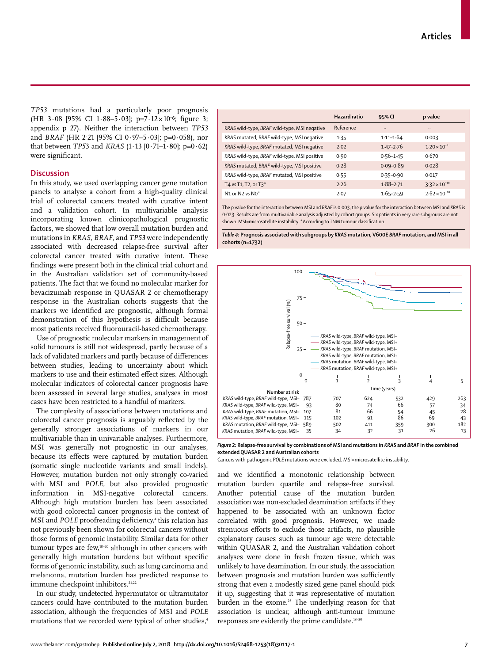*TP53* mutations had a particularly poor prognosis (HR 3·08 [95% CI 1·88–5·03]; p=7·12×10– ⁶; figure 3; appendix p 27). Neither the interaction between *TP53* and *BRAF* (HR 2· 21 [95% CI 0·97–5·03]; p=0·058), nor that between *TP53* and *KRAS*  $(1.13 \mid 0.71-1.80]$ ; p=0.62) were significant.

# **Discussion**

In this study, we used overlapping cancer gene mutation panels to analyse a cohort from a high-quality clinical trial of colorectal cancers treated with curative intent and a validation cohort. In multivariable analysis incorporating known clinicopathological prognostic factors, we showed that low overall mutation burden and mutations in *KRAS, BRAF*, and *TP53* were independently associated with decreased relapse-free survival after colorectal cancer treated with curative intent. These findings were present both in the clinical trial cohort and in the Australian validation set of community-based patients. The fact that we found no molecular marker for bevacizumab response in QUASAR 2 or chemotherapy response in the Australian cohorts suggests that the markers we identified are prognostic, although formal demonstration of this hypothesis is difficult because most patients received fluorouracil-based chemotherapy.

Use of prognostic molecular markers in management of solid tumours is still not widespread, partly because of a lack of validated markers and partly because of differences between studies, leading to uncertainty about which markers to use and their estimated effect sizes. Although molecular indicators of colorectal cancer prognosis have been assessed in several large studies, analyses in most cases have been restricted to a handful of markers.

The complexity of associations between mutations and colorectal cancer prognosis is arguably reflected by the generally stronger associations of markers in our multivariable than in univariable analyses. Furthermore, MSI was generally not prognostic in our analyses, because its effects were captured by mutation burden (somatic single nucleotide variants and small indels). However, mutation burden not only strongly co-varied with MSI and *POLE,* but also provided prognostic information in MSI-negative colorectal cancers. Although high mutation burden has been associated with good colorectal cancer prognosis in the context of MSI and *POLE* proofreading deficiency,<sup>4</sup> this relation has not previously been shown for colorectal cancers without those forms of genomic instability. Similar data for other tumour types are few,18–20 although in other cancers with generally high mutation burdens but without specific forms of genomic instability, such as lung carcinoma and melanoma, mutation burden has predicted response to immune checkpoint inhibitors.<sup>21,22</sup>

In our study, undetected hypermutator or ultramutator cancers could have contributed to the mutation burden association, although the frequencies of MSI and *POLE*  mutations that we recorded were typical of other studies,<sup>4</sup>

|                                                                 | <b>Hazard</b> ratio | 95% CI        | p value                |
|-----------------------------------------------------------------|---------------------|---------------|------------------------|
| KRAS wild-type, BRAF wild-type, MSI negative                    | Reference           | $\cdot$       |                        |
| KRAS mutated, BRAF wild-type, MSI negative                      | 1.35                | $1.11 - 1.64$ | 0.003                  |
| KRAS wild-type, BRAF mutated, MSI negative                      | 2.02                | $1.47 - 2.76$ | $1.20 \times 10^{-5}$  |
| KRAS wild-type, BRAF wild-type, MSI positive                    | 0.90                | $0.56 - 1.45$ | 0.670                  |
| KRAS mutated, BRAF wild-type, MSI positive                      | 0.28                | $0.09 - 0.89$ | 0.028                  |
| KRAS wild-type, BRAF mutated, MSI positive                      | 0.55                | $0.35 - 0.90$ | 0.017                  |
| T4 vs T1, T2, or T3*                                            | 7.76                | $1.88 - 2.71$ | $3.32 \times 10^{-18}$ |
| N <sub>1</sub> or N <sub>2</sub> vs N <sub>0</sub> <sup>*</sup> | 2.07                | $1.65 - 2.59$ | $7.62 \times 10^{-10}$ |

The p value for the interaction between MSI and *BRAF* is 0·003; the p value for the interaction between MSI and *KRAS* is 0·023. Results are from multivariable analysis adjusted by cohort groups. Six patients in very rare subgroups are not shown. MSI=microsatellite instability. \*According to TNM tumour classification.

*Table 4:* **Prognosis associated with subgroups by** *KRAS* **mutation, V600E** *BRAF* **mutation, and MSI in all cohorts (n=1732)**



*Figure 2:* **Relapse-free survival by combinations of MSI and mutations in** *KRAS* **and** *BRAF* **in the combined extended QUASAR 2 and Australian cohorts**

Cancers with pathogenic *POLE* mutations were excluded. MSI=microsatellite instability.

and we identified a monotonic relationship between mutation burden quartile and relapse-free survival. Another potential cause of the mutation burden association was non-excluded deamination artifacts if they happened to be associated with an unknown factor correlated with good prognosis. However, we made strenuous efforts to exclude those artifacts, no plausible explanatory causes such as tumour age were detectable within QUASAR 2, and the Australian validation cohort analyses were done in fresh frozen tissue, which was unlikely to have deamination. In our study, the association between prognosis and mutation burden was sufficiently strong that even a modestly sized gene panel should pick it up, suggesting that it was representative of mutation burden in the exome.<sup>23</sup> The underlying reason for that association is unclear, although anti-tumour immune responses are evidently the prime candidate.18–20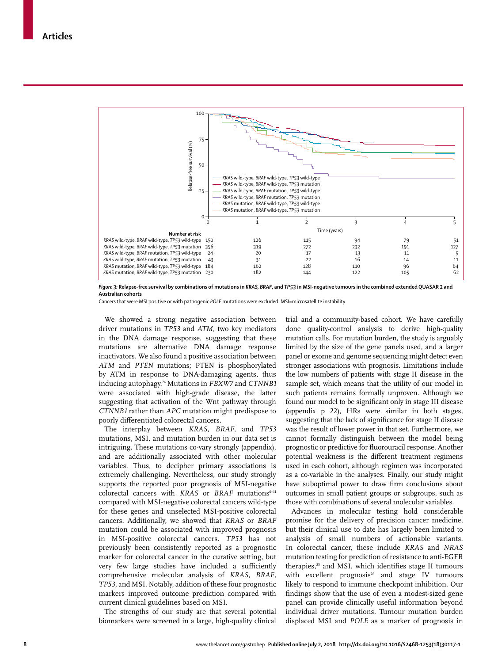

*Figure 3:* **Relapse-free survival by combinations of mutations in** *KRAS, BRAF***, and** *TP53* **in MSI-negative tumours in the combined extended QUASAR 2 and Australian cohorts**

Cancers that were MSI positive or with pathogenic *POLE* mutations were excluded. MSI=microsatellite instability.

We showed a strong negative association between driver mutations in *TP53* and *ATM*, two key mediators in the DNA damage response, suggesting that these mutations are alternative DNA damage response inactivators. We also found a positive association between *ATM* and *PTEN* mutations; PTEN is phosphorylated by ATM in response to DNA-damaging agents, thus inducing autophagy.24 Mutations in *FBXW7* and *CTNNB1* were associated with high-grade disease, the latter suggesting that activation of the Wnt pathway through *CTNNB1* rather than *APC* mutation might predispose to poorly differentiated colorectal cancers.

The interplay between *KRAS, BRAF*, and *TP53*  mutations, MSI, and mutation burden in our data set is intriguing. These mutations co-vary strongly (appendix), and are additionally associated with other molecular variables. Thus, to decipher primary associations is extremely challenging. Nevertheless, our study strongly supports the reported poor prognosis of MSI-negative colorectal cancers with *KRAS* or *BRAF* mutations<sup>6-11</sup> compared with MSI-negative colorectal cancers wild-type for these genes and unselected MSI-positive colorectal cancers. Additionally, we showed that *KRAS* or *BRAF*  mutation could be associated with improved prognosis in MSI-positive colorectal cancers. *TP53* has not previously been consistently reported as a prognostic marker for colorectal cancer in the curative setting, but very few large studies have included a sufficiently comprehensive molecular analysis of *KRAS, BRAF, TP53*, and MSI. Notably, addition of these four prognostic markers improved outcome prediction compared with current clinical guidelines based on MSI.

The strengths of our study are that several potential biomarkers were screened in a large, high-quality clinical trial and a community-based cohort. We have carefully done quality-control analysis to derive high-quality mutation calls. For mutation burden, the study is arguably limited by the size of the gene panels used, and a larger panel or exome and genome sequencing might detect even stronger associations with prognosis. Limitations include the low numbers of patients with stage II disease in the sample set, which means that the utility of our model in such patients remains formally unproven. Although we found our model to be significant only in stage III disease (appendix p 22), HRs were similar in both stages, suggesting that the lack of significance for stage II disease was the result of lower power in that set. Furthermore, we cannot formally distinguish between the model being prognostic or predictive for fluorouracil response. Another potential weakness is the different treatment regimens used in each cohort, although regimen was incorporated as a co-variable in the analyses. Finally, our study might have suboptimal power to draw firm conclusions about outcomes in small patient groups or subgroups, such as those with combinations of several molecular variables.

Advances in molecular testing hold considerable promise for the delivery of precision cancer medicine, but their clinical use to date has largely been limited to analysis of small numbers of actionable variants. In colorectal cancer, these include *KRAS* and *NRAS* mutation testing for prediction of resistance to anti-EGFR therapies,<sup>25</sup> and MSI, which identifies stage II tumours with excellent prognosis<sup>26</sup> and stage IV tumours likely to respond to immune checkpoint inhibition. Our findings show that the use of even a modest-sized gene panel can provide clinically useful information beyond individual driver mutations. Tumour mutation burden displaced MSI and *POLE* as a marker of prognosis in